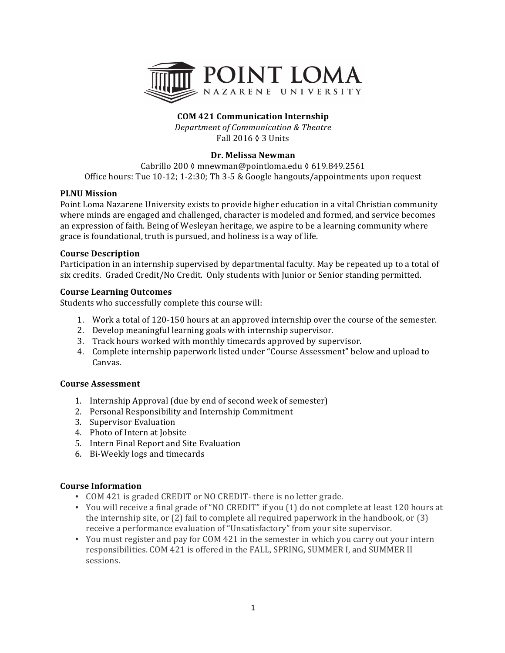

# **COM 421 Communication Internship**

*Department of Communication & Theatre* Fall 2016 ◊ 3 Units

### **Dr. Melissa Newman**

Cabrillo 200 ≬ mnewman@pointloma.edu (§ 619.849.2561 Office hours: Tue 10-12; 1-2:30; Th 3-5 & Google hangouts/appointments upon request

### **PLNU** Mission

Point Loma Nazarene University exists to provide higher education in a vital Christian community where minds are engaged and challenged, character is modeled and formed, and service becomes an expression of faith. Being of Wesleyan heritage, we aspire to be a learning community where grace is foundational, truth is pursued, and holiness is a way of life.

### **Course Description**

Participation in an internship supervised by departmental faculty. May be repeated up to a total of six credits. Graded Credit/No Credit. Only students with Junior or Senior standing permitted.

### **Course Learning Outcomes**

Students who successfully complete this course will:

- 1. Work a total of 120-150 hours at an approved internship over the course of the semester.
- 2. Develop meaningful learning goals with internship supervisor.
- 3. Track hours worked with monthly timecards approved by supervisor.
- 4. Complete internship paperwork listed under "Course Assessment" below and upload to Canvas.

### **Course Assessment**

- 1. Internship Approval (due by end of second week of semester)
- 2. Personal Responsibility and Internship Commitment
- 3. Supervisor Evaluation
- 4. Photo of Intern at Jobsite
- 5. Intern Final Report and Site Evaluation
- 6. Bi-Weekly logs and timecards

## **Course Information**

- COM 421 is graded CREDIT or NO CREDIT- there is no letter grade.
- You will receive a final grade of "NO CREDIT" if you (1) do not complete at least 120 hours at the internship site, or  $(2)$  fail to complete all required paperwork in the handbook, or  $(3)$ receive a performance evaluation of "Unsatisfactory" from your site supervisor.
- You must register and pay for COM 421 in the semester in which you carry out your intern responsibilities. COM 421 is offered in the FALL, SPRING, SUMMER I, and SUMMER II sessions.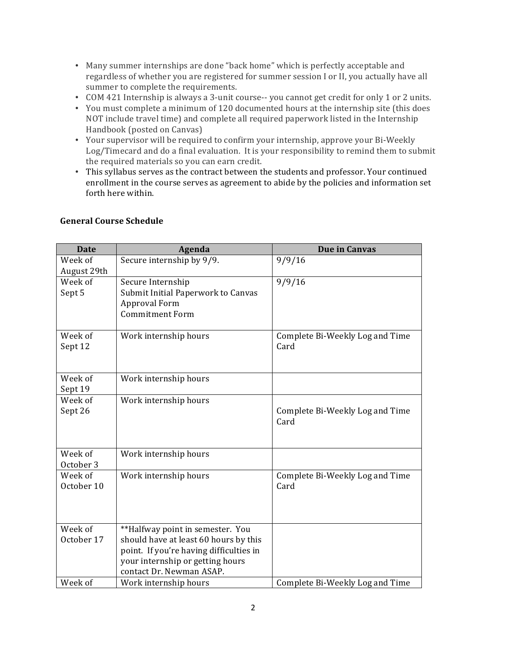- Many summer internships are done "back home" which is perfectly acceptable and regardless of whether you are registered for summer session I or II, you actually have all summer to complete the requirements.
- COM 421 Internship is always a 3-unit course-- you cannot get credit for only 1 or 2 units.
- You must complete a minimum of 120 documented hours at the internship site (this does NOT include travel time) and complete all required paperwork listed in the Internship Handbook (posted on Canvas)
- Your supervisor will be required to confirm your internship, approve your Bi-Weekly Log/Timecard and do a final evaluation. It is your responsibility to remind them to submit the required materials so you can earn credit.
- This syllabus serves as the contract between the students and professor. Your continued enrollment in the course serves as agreement to abide by the policies and information set forth here within.

| <b>Date</b>            | Agenda                                                                                                                                                                               | <b>Due in Canvas</b>                    |
|------------------------|--------------------------------------------------------------------------------------------------------------------------------------------------------------------------------------|-----------------------------------------|
| Week of<br>August 29th | Secure internship by 9/9.                                                                                                                                                            | 9/9/16                                  |
| Week of<br>Sept 5      | Secure Internship<br>Submit Initial Paperwork to Canvas<br>Approval Form<br><b>Commitment Form</b>                                                                                   | 9/9/16                                  |
| Week of<br>Sept 12     | Work internship hours                                                                                                                                                                | Complete Bi-Weekly Log and Time<br>Card |
| Week of<br>Sept 19     | Work internship hours                                                                                                                                                                |                                         |
| Week of<br>Sept 26     | Work internship hours                                                                                                                                                                | Complete Bi-Weekly Log and Time<br>Card |
| Week of<br>October 3   | Work internship hours                                                                                                                                                                |                                         |
| Week of<br>October 10  | Work internship hours                                                                                                                                                                | Complete Bi-Weekly Log and Time<br>Card |
| Week of<br>October 17  | **Halfway point in semester. You<br>should have at least 60 hours by this<br>point. If you're having difficulties in<br>your internship or getting hours<br>contact Dr. Newman ASAP. |                                         |
| Week of                | Work internship hours                                                                                                                                                                | Complete Bi-Weekly Log and Time         |

## **General Course Schedule**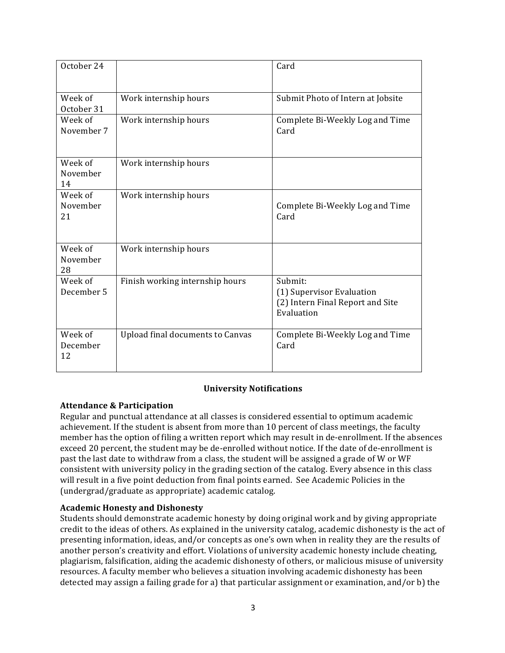| October 24                |                                         | Card                                                                                   |
|---------------------------|-----------------------------------------|----------------------------------------------------------------------------------------|
| Week of<br>October 31     | Work internship hours                   | Submit Photo of Intern at Jobsite                                                      |
| Week of<br>November 7     | Work internship hours                   | Complete Bi-Weekly Log and Time<br>Card                                                |
| Week of<br>November<br>14 | Work internship hours                   |                                                                                        |
| Week of<br>November<br>21 | Work internship hours                   | Complete Bi-Weekly Log and Time<br>Card                                                |
| Week of<br>November<br>28 | Work internship hours                   |                                                                                        |
| Week of<br>December 5     | Finish working internship hours         | Submit:<br>(1) Supervisor Evaluation<br>(2) Intern Final Report and Site<br>Evaluation |
| Week of<br>December<br>12 | <b>Upload final documents to Canvas</b> | Complete Bi-Weekly Log and Time<br>Card                                                |

## **University Notifications**

## **Attendance & Participation**

Regular and punctual attendance at all classes is considered essential to optimum academic achievement. If the student is absent from more than 10 percent of class meetings, the faculty member has the option of filing a written report which may result in de-enrollment. If the absences exceed 20 percent, the student may be de-enrolled without notice. If the date of de-enrollment is past the last date to withdraw from a class, the student will be assigned a grade of W or WF consistent with university policy in the grading section of the catalog. Every absence in this class will result in a five point deduction from final points earned. See Academic Policies in the (undergrad/graduate as appropriate) academic catalog.

## **Academic Honesty and Dishonesty**

Students should demonstrate academic honesty by doing original work and by giving appropriate credit to the ideas of others. As explained in the university catalog, academic dishonesty is the act of presenting information, ideas, and/or concepts as one's own when in reality they are the results of another person's creativity and effort. Violations of university academic honesty include cheating, plagiarism, falsification, aiding the academic dishonesty of others, or malicious misuse of university resources. A faculty member who believes a situation involving academic dishonesty has been detected may assign a failing grade for a) that particular assignment or examination, and/or  $\mathbf b$ ) the